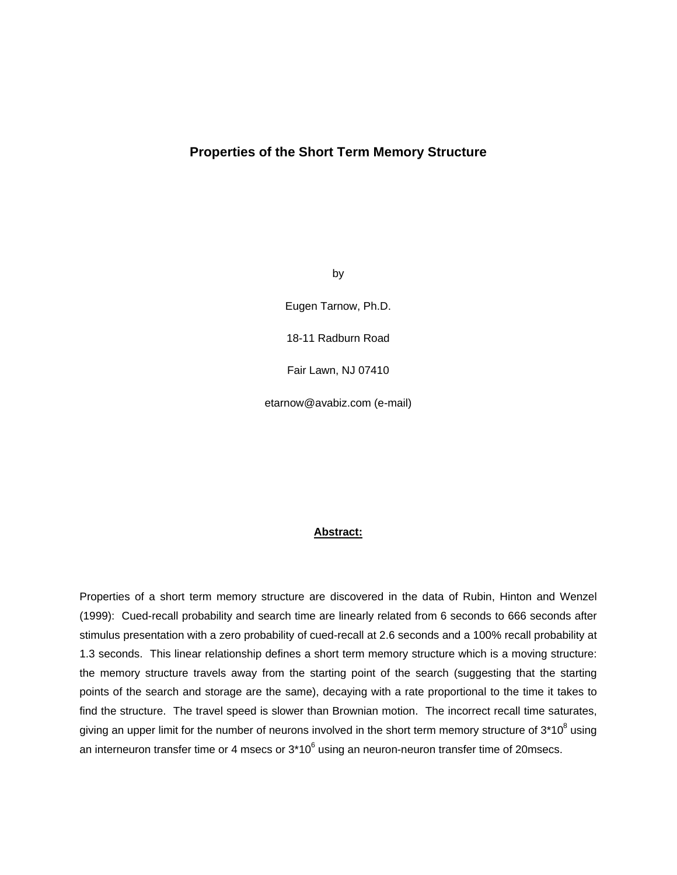# **Properties of the Short Term Memory Structure**

by

Eugen Tarnow, Ph.D.

18-11 Radburn Road

Fair Lawn, NJ 07410

etarnow@avabiz.com (e-mail)

## **Abstract:**

Properties of a short term memory structure are discovered in the data of Rubin, Hinton and Wenzel (1999): Cued-recall probability and search time are linearly related from 6 seconds to 666 seconds after stimulus presentation with a zero probability of cued-recall at 2.6 seconds and a 100% recall probability at 1.3 seconds. This linear relationship defines a short term memory structure which is a moving structure: the memory structure travels away from the starting point of the search (suggesting that the starting points of the search and storage are the same), decaying with a rate proportional to the time it takes to find the structure. The travel speed is slower than Brownian motion. The incorrect recall time saturates, giving an upper limit for the number of neurons involved in the short term memory structure of 3\*10<sup>8</sup> using an interneuron transfer time or 4 msecs or  $3*10^6$  using an neuron-neuron transfer time of 20msecs.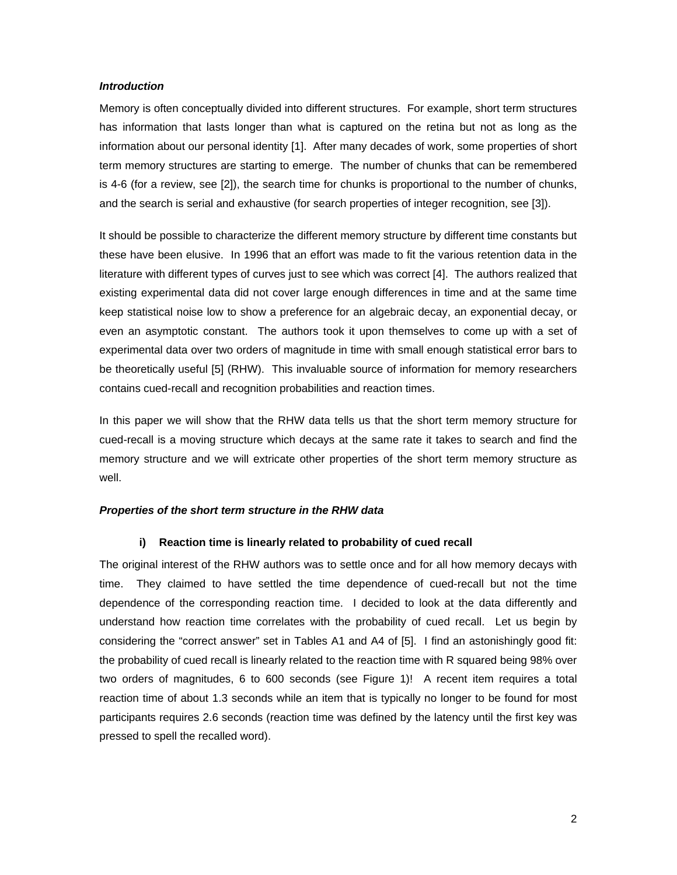#### *Introduction*

Memory is often conceptually divided into different structures. For example, short term structures has information that lasts longer than what is captured on the retina but not as long as the information about our personal identity [1]. After many decades of work, some properties of short term memory structures are starting to emerge. The number of chunks that can be remembered is 4-6 (for a review, see [2]), the search time for chunks is proportional to the number of chunks, and the search is serial and exhaustive (for search properties of integer recognition, see [3]).

It should be possible to characterize the different memory structure by different time constants but these have been elusive. In 1996 that an effort was made to fit the various retention data in the literature with different types of curves just to see which was correct [4]. The authors realized that existing experimental data did not cover large enough differences in time and at the same time keep statistical noise low to show a preference for an algebraic decay, an exponential decay, or even an asymptotic constant. The authors took it upon themselves to come up with a set of experimental data over two orders of magnitude in time with small enough statistical error bars to be theoretically useful [5] (RHW). This invaluable source of information for memory researchers contains cued-recall and recognition probabilities and reaction times.

In this paper we will show that the RHW data tells us that the short term memory structure for cued-recall is a moving structure which decays at the same rate it takes to search and find the memory structure and we will extricate other properties of the short term memory structure as well.

### *Properties of the short term structure in the RHW data*

#### **i) Reaction time is linearly related to probability of cued recall**

The original interest of the RHW authors was to settle once and for all how memory decays with time. They claimed to have settled the time dependence of cued-recall but not the time dependence of the corresponding reaction time. I decided to look at the data differently and understand how reaction time correlates with the probability of cued recall. Let us begin by considering the "correct answer" set in Tables A1 and A4 of [5]. I find an astonishingly good fit: the probability of cued recall is linearly related to the reaction time with R squared being 98% over two orders of magnitudes, 6 to 600 seconds (see Figure 1)! A recent item requires a total reaction time of about 1.3 seconds while an item that is typically no longer to be found for most participants requires 2.6 seconds (reaction time was defined by the latency until the first key was pressed to spell the recalled word).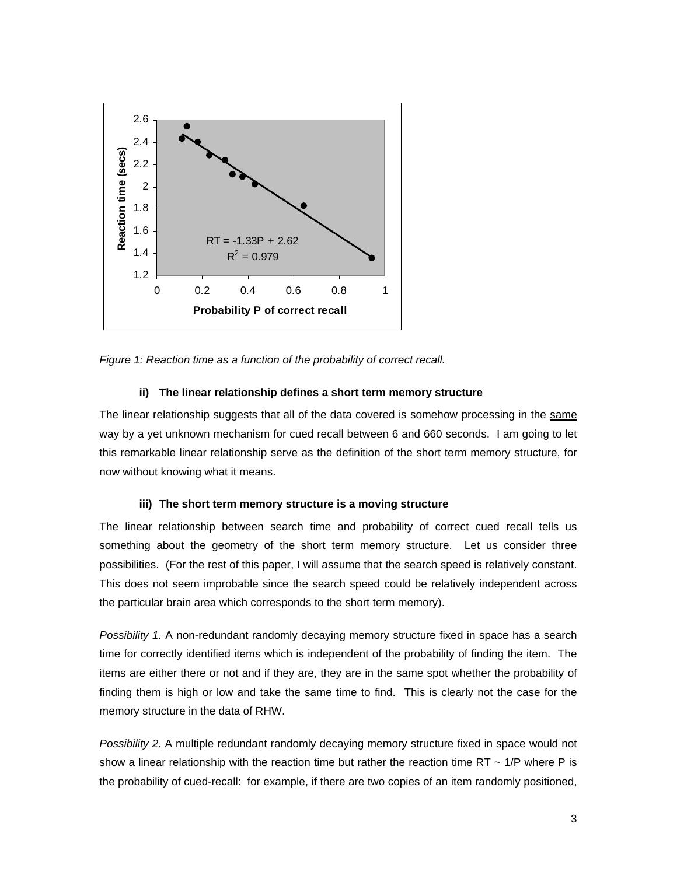

*Figure 1: Reaction time as a function of the probability of correct recall.* 

#### **ii) The linear relationship defines a short term memory structure**

The linear relationship suggests that all of the data covered is somehow processing in the same way by a yet unknown mechanism for cued recall between 6 and 660 seconds. I am going to let this remarkable linear relationship serve as the definition of the short term memory structure, for now without knowing what it means.

## **iii) The short term memory structure is a moving structure**

The linear relationship between search time and probability of correct cued recall tells us something about the geometry of the short term memory structure. Let us consider three possibilities. (For the rest of this paper, I will assume that the search speed is relatively constant. This does not seem improbable since the search speed could be relatively independent across the particular brain area which corresponds to the short term memory).

*Possibility 1.* A non-redundant randomly decaying memory structure fixed in space has a search time for correctly identified items which is independent of the probability of finding the item. The items are either there or not and if they are, they are in the same spot whether the probability of finding them is high or low and take the same time to find. This is clearly not the case for the memory structure in the data of RHW.

*Possibility 2.* A multiple redundant randomly decaying memory structure fixed in space would not show a linear relationship with the reaction time but rather the reaction time  $RT \sim 1/P$  where P is the probability of cued-recall: for example, if there are two copies of an item randomly positioned,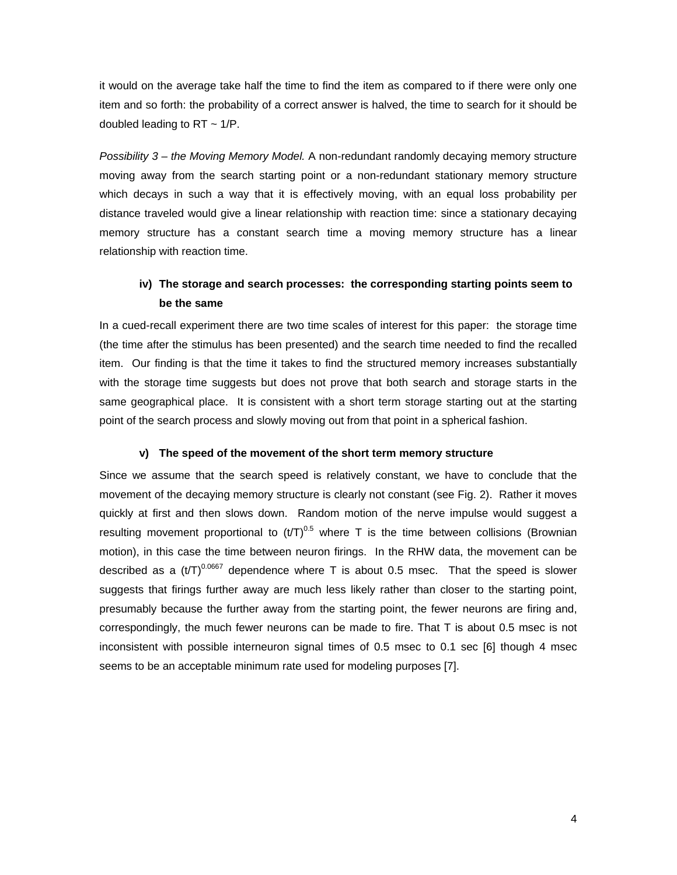it would on the average take half the time to find the item as compared to if there were only one item and so forth: the probability of a correct answer is halved, the time to search for it should be doubled leading to  $RT \sim 1/P$ .

*Possibility 3 – the Moving Memory Model.* A non-redundant randomly decaying memory structure moving away from the search starting point or a non-redundant stationary memory structure which decays in such a way that it is effectively moving, with an equal loss probability per distance traveled would give a linear relationship with reaction time: since a stationary decaying memory structure has a constant search time a moving memory structure has a linear relationship with reaction time.

# **iv) The storage and search processes: the corresponding starting points seem to be the same**

In a cued-recall experiment there are two time scales of interest for this paper: the storage time (the time after the stimulus has been presented) and the search time needed to find the recalled item. Our finding is that the time it takes to find the structured memory increases substantially with the storage time suggests but does not prove that both search and storage starts in the same geographical place. It is consistent with a short term storage starting out at the starting point of the search process and slowly moving out from that point in a spherical fashion.

#### **v) The speed of the movement of the short term memory structure**

Since we assume that the search speed is relatively constant, we have to conclude that the movement of the decaying memory structure is clearly not constant (see Fig. 2). Rather it moves quickly at first and then slows down. Random motion of the nerve impulse would suggest a resulting movement proportional to  $(t/T)^{0.5}$  where T is the time between collisions (Brownian motion), in this case the time between neuron firings. In the RHW data, the movement can be described as a  $(t/T)^{0.0667}$  dependence where T is about 0.5 msec. That the speed is slower suggests that firings further away are much less likely rather than closer to the starting point, presumably because the further away from the starting point, the fewer neurons are firing and, correspondingly, the much fewer neurons can be made to fire. That T is about 0.5 msec is not inconsistent with possible interneuron signal times of 0.5 msec to 0.1 sec [6] though 4 msec seems to be an acceptable minimum rate used for modeling purposes [7].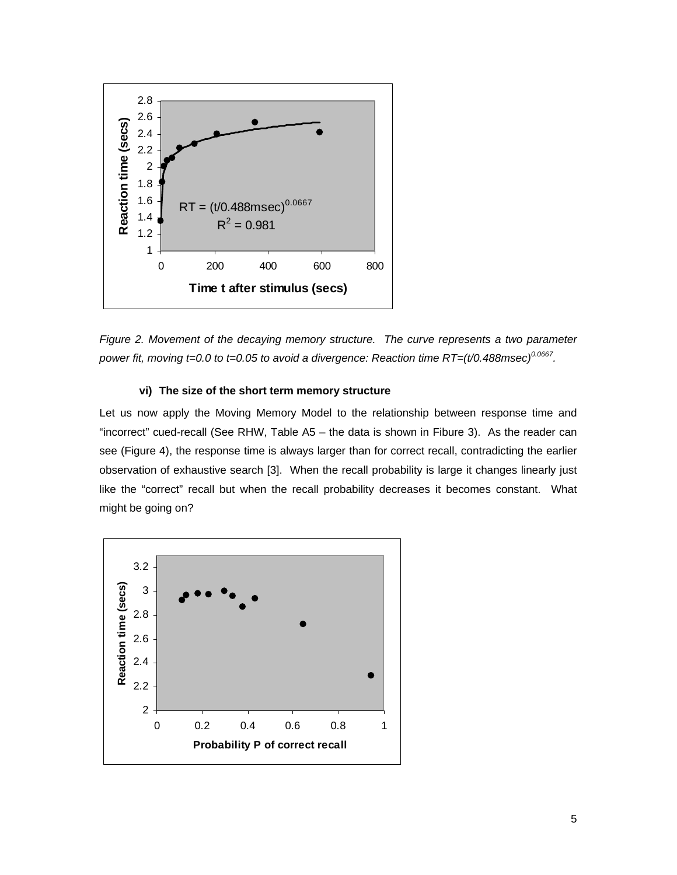

*Figure 2. Movement of the decaying memory structure. The curve represents a two parameter power fit, moving t=0.0 to t=0.05 to avoid a divergence: Reaction time RT=(t/0.488msec)0.0667.* 

## **vi) The size of the short term memory structure**

Let us now apply the Moving Memory Model to the relationship between response time and "incorrect" cued-recall (See RHW, Table A5 – the data is shown in Fibure 3). As the reader can see (Figure 4), the response time is always larger than for correct recall, contradicting the earlier observation of exhaustive search [3]. When the recall probability is large it changes linearly just like the "correct" recall but when the recall probability decreases it becomes constant. What might be going on?

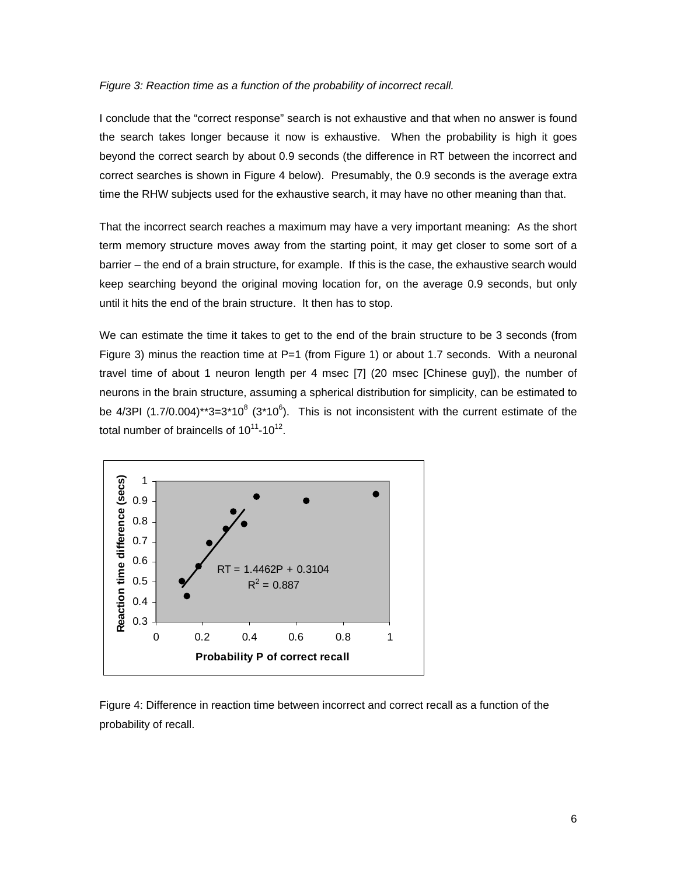#### *Figure 3: Reaction time as a function of the probability of incorrect recall.*

I conclude that the "correct response" search is not exhaustive and that when no answer is found the search takes longer because it now is exhaustive. When the probability is high it goes beyond the correct search by about 0.9 seconds (the difference in RT between the incorrect and correct searches is shown in Figure 4 below). Presumably, the 0.9 seconds is the average extra time the RHW subjects used for the exhaustive search, it may have no other meaning than that.

That the incorrect search reaches a maximum may have a very important meaning: As the short term memory structure moves away from the starting point, it may get closer to some sort of a barrier – the end of a brain structure, for example. If this is the case, the exhaustive search would keep searching beyond the original moving location for, on the average 0.9 seconds, but only until it hits the end of the brain structure. It then has to stop.

We can estimate the time it takes to get to the end of the brain structure to be 3 seconds (from Figure 3) minus the reaction time at  $P=1$  (from Figure 1) or about 1.7 seconds. With a neuronal travel time of about 1 neuron length per 4 msec [7] (20 msec [Chinese guy]), the number of neurons in the brain structure, assuming a spherical distribution for simplicity, can be estimated to be 4/3PI (1.7/0.004)\*\*3=3\*10<sup>8</sup> (3\*10<sup>6</sup>). This is not inconsistent with the current estimate of the total number of braincells of  $10^{11}$ -10<sup>12</sup>.



Figure 4: Difference in reaction time between incorrect and correct recall as a function of the probability of recall.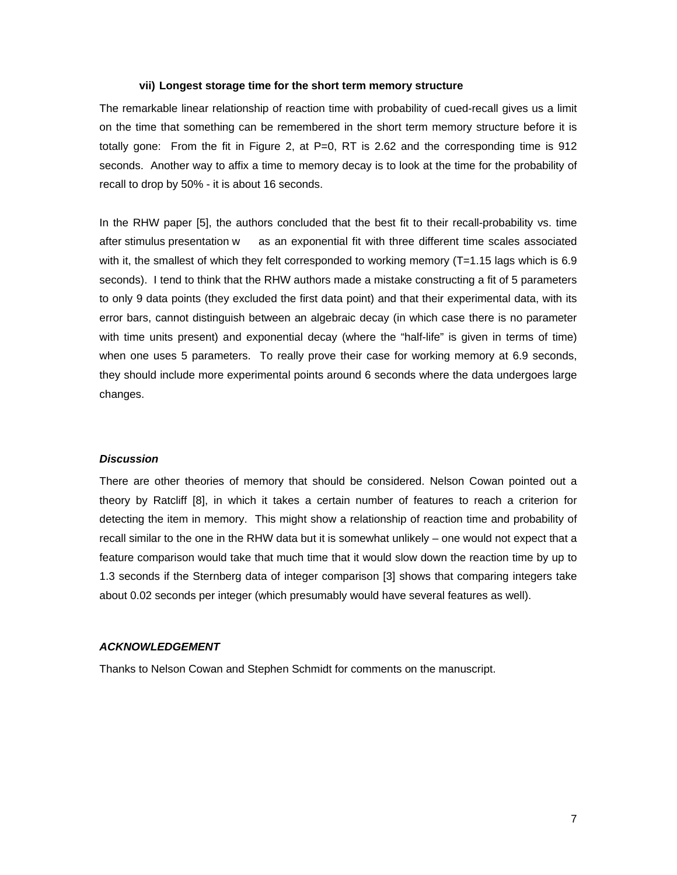#### **vii) Longest storage time for the short term memory structure**

The remarkable linear relationship of reaction time with probability of cued-recall gives us a limit on the time that something can be remembered in the short term memory structure before it is totally gone: From the fit in Figure 2, at  $P=0$ , RT is 2.62 and the corresponding time is 912 seconds. Another way to affix a time to memory decay is to look at the time for the probability of recall to drop by 50% - it is about 16 seconds.

In the RHW paper [5], the authors concluded that the best fit to their recall-probability vs. time after stimulus presentation w as an exponential fit with three different time scales associated with it, the smallest of which they felt corresponded to working memory (T=1.15 lags which is 6.9 seconds). I tend to think that the RHW authors made a mistake constructing a fit of 5 parameters to only 9 data points (they excluded the first data point) and that their experimental data, with its error bars, cannot distinguish between an algebraic decay (in which case there is no parameter with time units present) and exponential decay (where the "half-life" is given in terms of time) when one uses 5 parameters. To really prove their case for working memory at 6.9 seconds, they should include more experimental points around 6 seconds where the data undergoes large changes.

### *Discussion*

There are other theories of memory that should be considered. Nelson Cowan pointed out a theory by Ratcliff [8], in which it takes a certain number of features to reach a criterion for detecting the item in memory. This might show a relationship of reaction time and probability of recall similar to the one in the RHW data but it is somewhat unlikely – one would not expect that a feature comparison would take that much time that it would slow down the reaction time by up to 1.3 seconds if the Sternberg data of integer comparison [3] shows that comparing integers take about 0.02 seconds per integer (which presumably would have several features as well).

#### *ACKNOWLEDGEMENT*

Thanks to Nelson Cowan and Stephen Schmidt for comments on the manuscript.